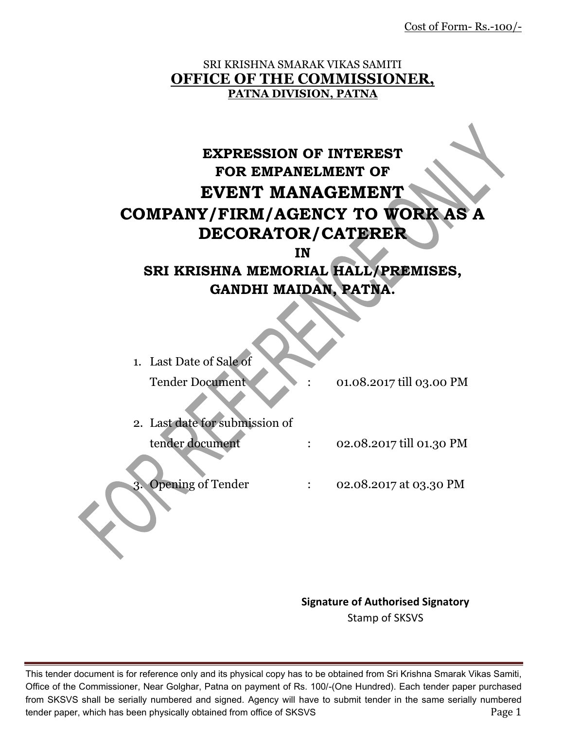Cost of Form- Rs.-100/-

#### SRI KRISHNA SMARAK VIKAS SAMITI **OFFICE OF THE COMMISSIONER, PATNA DIVISION, PATNA**

# **EXPRESSION OF INTEREST FOR EMPANELMENT OF EVENT MANAGEMENT COMPANY/FIRM/AGENCY TO WORK AS A DECORATOR/CATERER**

**IN** 

# **SRI KRISHNA MEMORIAL HALL/PREMISES, GANDHI MAIDAN, PATNA.**

| 1. Last Date of Sale of        |                          |
|--------------------------------|--------------------------|
| <b>Tender Document</b>         | 01.08.2017 till 03.00 PM |
| 2. Last date for submission of |                          |
| tender document                | 02.08.2017 till 01.30 PM |
|                                |                          |
| <b>Opening of Tender</b><br>3  | 02.08.2017 at 03.30 PM   |

**Signature of Authorised Signatory** Stamp of SKSVS

This tender document is for reference only and its physical copy has to be obtained from Sri Krishna Smarak Vikas Samiti, Office of the Commissioner, Near Golghar, Patna on payment of Rs. 100/-(One Hundred). Each tender paper purchased from SKSVS shall be serially numbered and signed. Agency will have to submit tender in the same serially numbered tender paper, which has been physically obtained from office of SKSVS **Page 1** Page 1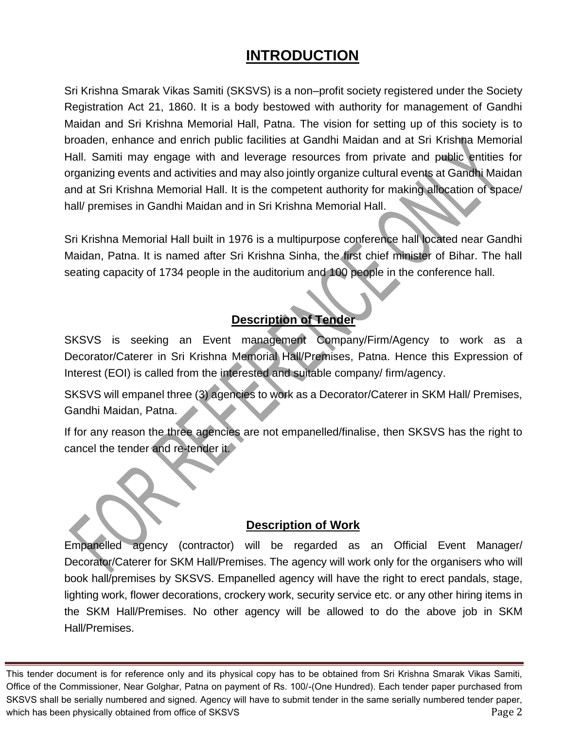# **INTRODUCTION**

Sri Krishna Smarak Vikas Samiti (SKSVS) is a non–profit society registered under the Society Registration Act 21, 1860. It is a body bestowed with authority for management of Gandhi Maidan and Sri Krishna Memorial Hall, Patna. The vision for setting up of this society is to broaden, enhance and enrich public facilities at Gandhi Maidan and at Sri Krishna Memorial Hall. Samiti may engage with and leverage resources from private and public entities for organizing events and activities and may also jointly organize cultural events at Gandhi Maidan and at Sri Krishna Memorial Hall. It is the competent authority for making allocation of space/ hall/ premises in Gandhi Maidan and in Sri Krishna Memorial Hall.

Sri Krishna Memorial Hall built in 1976 is a multipurpose conference hall located near Gandhi Maidan, Patna. It is named after Sri Krishna Sinha, the first chief minister of Bihar. The hall seating capacity of 1734 people in the auditorium and 100 people in the conference hall.

## **Description of Tender**

SKSVS is seeking an Event management Company/Firm/Agency to work as a Decorator/Caterer in Sri Krishna Memorial Hall/Premises, Patna. Hence this Expression of Interest (EOI) is called from the interested and suitable company/ firm/agency.

SKSVS will empanel three (3) agencies to work as a Decorator/Caterer in SKM Hall/ Premises, Gandhi Maidan, Patna.

If for any reason the three agencies are not empanelled/finalise, then SKSVS has the right to cancel the tender and re-tender it.

#### **Description of Work**

Empanelled agency (contractor) will be regarded as an Official Event Manager/ Decorator/Caterer for SKM Hall/Premises. The agency will work only for the organisers who will book hall/premises by SKSVS. Empanelled agency will have the right to erect pandals, stage, lighting work, flower decorations, crockery work, security service etc. or any other hiring items in the SKM Hall/Premises. No other agency will be allowed to do the above job in SKM Hall/Premises.

This tender document is for reference only and its physical copy has to be obtained from Sri Krishna Smarak Vikas Samiti, Office of the Commissioner, Near Golghar, Patna on payment of Rs. 100/-(One Hundred). Each tender paper purchased from SKSVS shall be serially numbered and signed. Agency will have to submit tender in the same serially numbered tender paper, which has been physically obtained from office of SKSVS **Page 2** and the state of  $\sim$  Page 2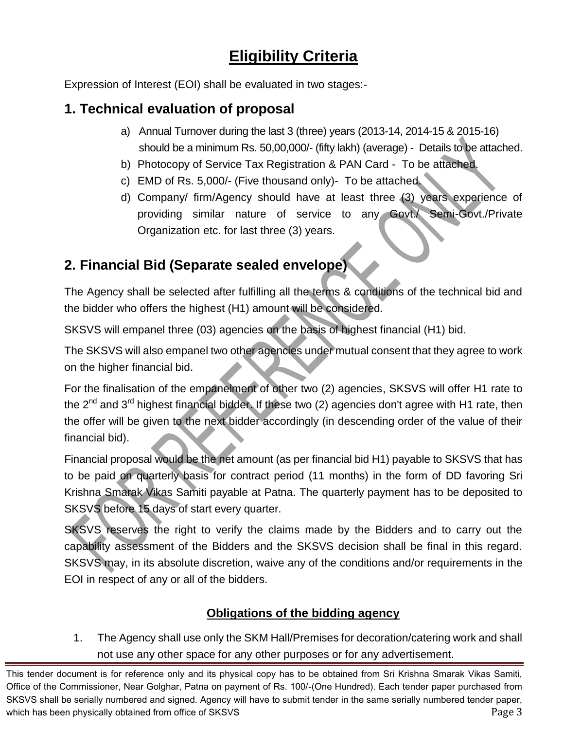# **Eligibility Criteria**

Expression of Interest (EOI) shall be evaluated in two stages:-

## **1. Technical evaluation of proposal**

- a) Annual Turnover during the last 3 (three) years (2013-14, 2014-15 & 2015-16) should be a minimum Rs. 50,00,000/- (fifty lakh) (average) - Details to be attached.
- b) Photocopy of Service Tax Registration & PAN Card To be attached.
- c) EMD of Rs. 5,000/- (Five thousand only)- To be attached.
- d) Company/ firm/Agency should have at least three (3) years experience of providing similar nature of service to any Govt./ Semi-Govt./Private Organization etc. for last three (3) years.

## **2. Financial Bid (Separate sealed envelope)**

The Agency shall be selected after fulfilling all the terms & conditions of the technical bid and the bidder who offers the highest (H1) amount will be considered.

SKSVS will empanel three (03) agencies on the basis of highest financial (H1) bid.

The SKSVS will also empanel two other agencies under mutual consent that they agree to work on the higher financial bid.

For the finalisation of the empanelment of other two (2) agencies, SKSVS will offer H1 rate to the 2<sup>nd</sup> and 3<sup>rd</sup> highest financial bidder. If these two (2) agencies don't agree with H1 rate, then the offer will be given to the next bidder accordingly (in descending order of the value of their financial bid).

Financial proposal would be the net amount (as per financial bid H1) payable to SKSVS that has to be paid on quarterly basis for contract period (11 months) in the form of DD favoring Sri Krishna Smarak Vikas Samiti payable at Patna. The quarterly payment has to be deposited to SKSVS before 15 days of start every quarter.

SKSVS reserves the right to verify the claims made by the Bidders and to carry out the capability assessment of the Bidders and the SKSVS decision shall be final in this regard. SKSVS may, in its absolute discretion, waive any of the conditions and/or requirements in the EOI in respect of any or all of the bidders.

## **Obligations of the bidding agency**

1. The Agency shall use only the SKM Hall/Premises for decoration/catering work and shall not use any other space for any other purposes or for any advertisement.

This tender document is for reference only and its physical copy has to be obtained from Sri Krishna Smarak Vikas Samiti, Office of the Commissioner, Near Golghar, Patna on payment of Rs. 100/-(One Hundred). Each tender paper purchased from SKSVS shall be serially numbered and signed. Agency will have to submit tender in the same serially numbered tender paper, which has been physically obtained from office of SKSVS **Page 3** and the state of  $\sim$  Page 3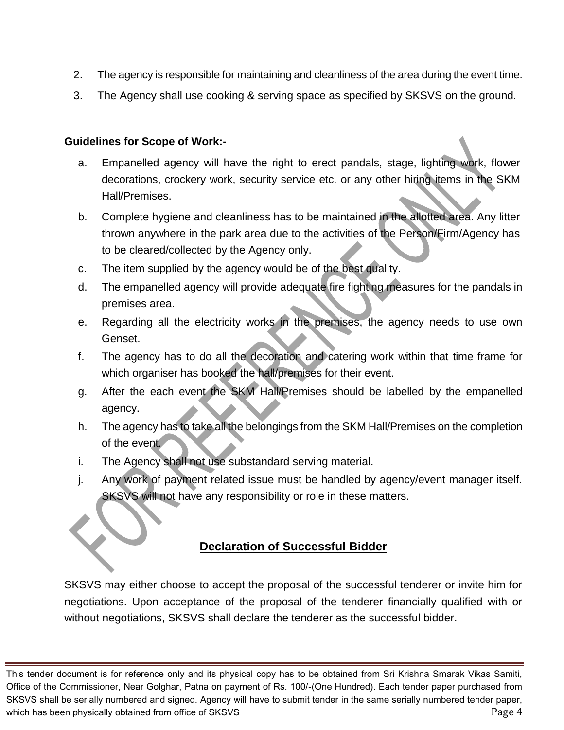- 2. The agency is responsible for maintaining and cleanliness of the area during the event time.
- 3. The Agency shall use cooking & serving space as specified by SKSVS on the ground.

#### **Guidelines for Scope of Work:-**

- a. Empanelled agency will have the right to erect pandals, stage, lighting work, flower decorations, crockery work, security service etc. or any other hiring items in the SKM Hall/Premises.
- b. Complete hygiene and cleanliness has to be maintained in the allotted area. Any litter thrown anywhere in the park area due to the activities of the Person/Firm/Agency has to be cleared/collected by the Agency only.
- c. The item supplied by the agency would be of the best quality.
- d. The empanelled agency will provide adequate fire fighting measures for the pandals in premises area.
- e. Regarding all the electricity works in the premises, the agency needs to use own Genset.
- f. The agency has to do all the decoration and catering work within that time frame for which organiser has booked the hall/premises for their event.
- g. After the each event the SKM Hall/Premises should be labelled by the empanelled agency.
- h. The agency has to take all the belongings from the SKM Hall/Premises on the completion of the event.
- i. The Agency shall not use substandard serving material.
- j. Any work of payment related issue must be handled by agency/event manager itself. SKSVS will not have any responsibility or role in these matters.

#### **Declaration of Successful Bidder**

SKSVS may either choose to accept the proposal of the successful tenderer or invite him for negotiations. Upon acceptance of the proposal of the tenderer financially qualified with or without negotiations, SKSVS shall declare the tenderer as the successful bidder.

This tender document is for reference only and its physical copy has to be obtained from Sri Krishna Smarak Vikas Samiti, Office of the Commissioner, Near Golghar, Patna on payment of Rs. 100/-(One Hundred). Each tender paper purchased from SKSVS shall be serially numbered and signed. Agency will have to submit tender in the same serially numbered tender paper, which has been physically obtained from office of SKSVS **Page 4** and the state of  $\sim$  Page 4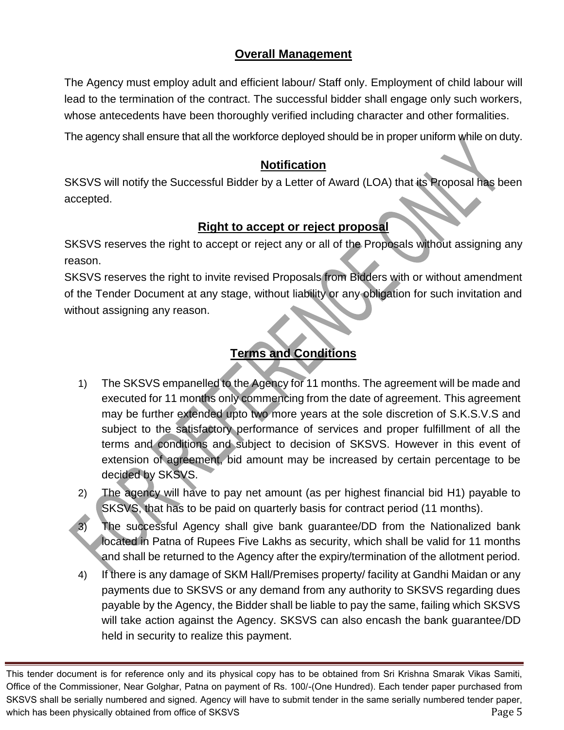### **Overall Management**

The Agency must employ adult and efficient labour/ Staff only. Employment of child labour will lead to the termination of the contract. The successful bidder shall engage only such workers, whose antecedents have been thoroughly verified including character and other formalities.

The agency shall ensure that all the workforce deployed should be in proper uniform while on duty.

#### **Notification**

SKSVS will notify the Successful Bidder by a Letter of Award (LOA) that its Proposal has been accepted.

## **Right to accept or reject proposal**

SKSVS reserves the right to accept or reject any or all of the Proposals without assigning any reason.

SKSVS reserves the right to invite revised Proposals from Bidders with or without amendment of the Tender Document at any stage, without liability or any obligation for such invitation and without assigning any reason.

## **Terms and Conditions**

- 1) The SKSVS empanelled to the Agency for 11 months. The agreement will be made and executed for 11 months only commencing from the date of agreement. This agreement may be further extended upto two more years at the sole discretion of S.K.S.V.S and subject to the satisfactory performance of services and proper fulfillment of all the terms and conditions and subject to decision of SKSVS. However in this event of extension of agreement, bid amount may be increased by certain percentage to be decided by SKSVS.
- 2) The agency will have to pay net amount (as per highest financial bid H1) payable to SKSVS, that has to be paid on quarterly basis for contract period (11 months).
- 3) The successful Agency shall give bank guarantee/DD from the Nationalized bank located in Patna of Rupees Five Lakhs as security, which shall be valid for 11 months and shall be returned to the Agency after the expiry/termination of the allotment period.
- 4) If there is any damage of SKM Hall/Premises property/ facility at Gandhi Maidan or any payments due to SKSVS or any demand from any authority to SKSVS regarding dues payable by the Agency, the Bidder shall be liable to pay the same, failing which SKSVS will take action against the Agency. SKSVS can also encash the bank guarantee/DD held in security to realize this payment.

This tender document is for reference only and its physical copy has to be obtained from Sri Krishna Smarak Vikas Samiti, Office of the Commissioner, Near Golghar, Patna on payment of Rs. 100/-(One Hundred). Each tender paper purchased from SKSVS shall be serially numbered and signed. Agency will have to submit tender in the same serially numbered tender paper, which has been physically obtained from office of SKSVS **Page 5** and the state of  $\sim$  Page 5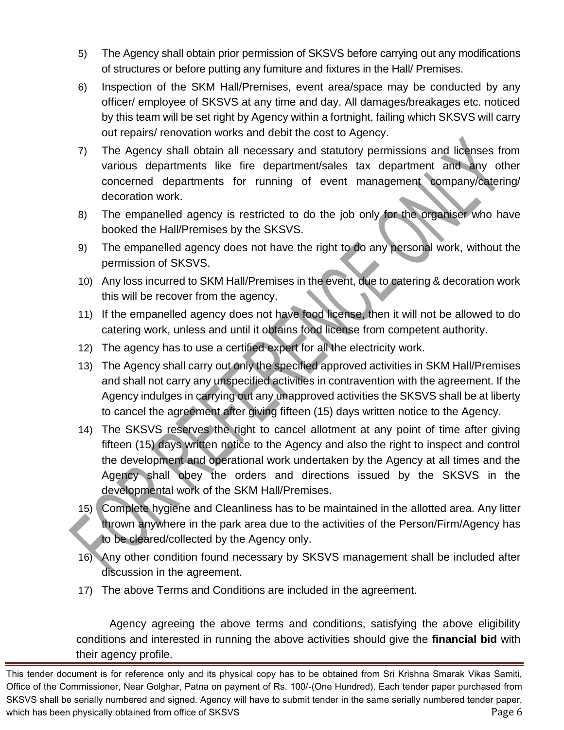- 5) The Agency shall obtain prior permission of SKSVS before carrying out any modifications of structures or before putting any furniture and fixtures in the Hall/ Premises.
- 6) Inspection of the SKM Hall/Premises, event area/space may be conducted by any officer/ employee of SKSVS at any time and day. All damages/breakages etc. noticed by this team will be set right by Agency within a fortnight, failing which SKSVS will carry out repairs/ renovation works and debit the cost to Agency.
- 7) The Agency shall obtain all necessary and statutory permissions and licenses from various departments like fire department/sales tax department and any other concerned departments for running of event management company/catering/ decoration work.
- 8) The empanelled agency is restricted to do the job only for the organiser who have booked the Hall/Premises by the SKSVS.
- 9) The empanelled agency does not have the right to do any personal work, without the permission of SKSVS.
- 10) Any loss incurred to SKM Hall/Premises in the event, due to catering & decoration work this will be recover from the agency.
- 11) If the empanelled agency does not have food license, then it will not be allowed to do catering work, unless and until it obtains food license from competent authority.
- 12) The agency has to use a certified expert for all the electricity work.
- 13) The Agency shall carry out only the specified approved activities in SKM Hall/Premises and shall not carry any unspecified activities in contravention with the agreement. If the Agency indulges in carrying out any unapproved activities the SKSVS shall be at liberty to cancel the agreement after giving fifteen (15) days written notice to the Agency.
- 14) The SKSVS reserves the right to cancel allotment at any point of time after giving fifteen (15) days written notice to the Agency and also the right to inspect and control the development and operational work undertaken by the Agency at all times and the Agency shall obey the orders and directions issued by the SKSVS in the developmental work of the SKM Hall/Premises.
- 15) Complete hygiene and Cleanliness has to be maintained in the allotted area. Any litter thrown anywhere in the park area due to the activities of the Person/Firm/Agency has to be cleared/collected by the Agency only.
- 16) Any other condition found necessary by SKSVS management shall be included after discussion in the agreement.
- 17) The above Terms and Conditions are included in the agreement.

Agency agreeing the above terms and conditions, satisfying the above eligibility conditions and interested in running the above activities should give the **financial bid** with their agency profile.

This tender document is for reference only and its physical copy has to be obtained from Sri Krishna Smarak Vikas Samiti, Office of the Commissioner, Near Golghar, Patna on payment of Rs. 100/-(One Hundred). Each tender paper purchased from SKSVS shall be serially numbered and signed. Agency will have to submit tender in the same serially numbered tender paper, which has been physically obtained from office of SKSVS **Page 6** and the state of  $\sim$  Page 6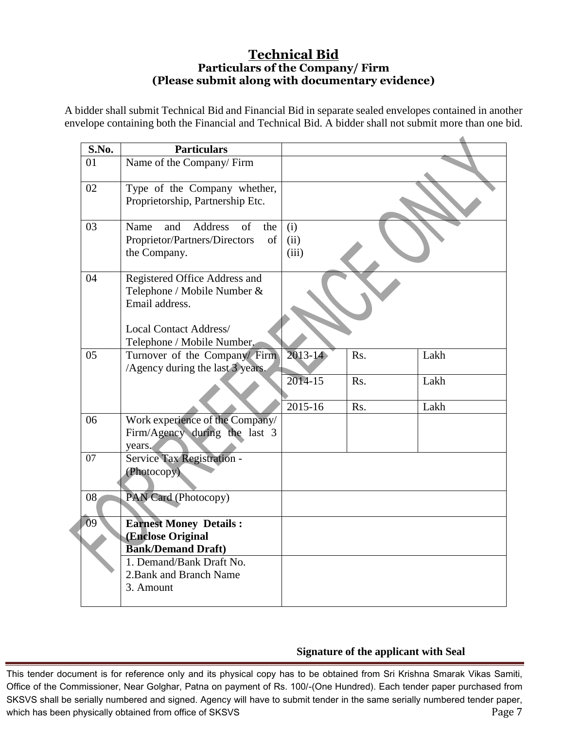#### **Technical Bid Particulars of the Company/ Firm (Please submit along with documentary evidence)**

A bidder shall submit Technical Bid and Financial Bid in separate sealed envelopes contained in another envelope containing both the Financial and Technical Bid. A bidder shall not submit more than one bid.

| S.No.           | <b>Particulars</b>                                                                                                                            |                        |            |              |
|-----------------|-----------------------------------------------------------------------------------------------------------------------------------------------|------------------------|------------|--------------|
| 01              | Name of the Company/Firm                                                                                                                      |                        |            |              |
| 02              | Type of the Company whether,<br>Proprietorship, Partnership Etc.                                                                              |                        |            |              |
| 03              | <b>Address</b><br>and<br>of<br>Name<br>the<br>Proprietor/Partners/Directors<br>of<br>the Company.                                             | (i)<br>(ii)<br>(iii)   |            |              |
| 04              | Registered Office Address and<br>Telephone / Mobile Number &<br>Email address.<br><b>Local Contact Address/</b><br>Telephone / Mobile Number. |                        |            |              |
| 05              | Turnover of the Company/ Firm<br>/Agency during the last 3 years.                                                                             | $2013 - 14$<br>2014-15 | Rs.<br>Rs. | Lakh<br>Lakh |
|                 |                                                                                                                                               | 2015-16                | Rs.        | Lakh         |
| 06              | Work experience of the Company/<br>Firm/Agency during the last 3<br>years.                                                                    |                        |            |              |
| 07<br>08        | Service Tax Registration -<br>(Photocopy)<br>PAN Card (Photocopy)                                                                             |                        |            |              |
|                 |                                                                                                                                               |                        |            |              |
| $\overline{09}$ | <b>Earnest Money Details:</b><br>(Enclose Original<br><b>Bank/Demand Draft)</b>                                                               |                        |            |              |
|                 | 1. Demand/Bank Draft No.<br>2. Bank and Branch Name<br>3. Amount                                                                              |                        |            |              |

#### **Signature of the applicant with Seal**

This tender document is for reference only and its physical copy has to be obtained from Sri Krishna Smarak Vikas Samiti, Office of the Commissioner, Near Golghar, Patna on payment of Rs. 100/-(One Hundred). Each tender paper purchased from SKSVS shall be serially numbered and signed. Agency will have to submit tender in the same serially numbered tender paper, which has been physically obtained from office of SKSVS **Page 7** and the state of  $\alpha$  Page 7